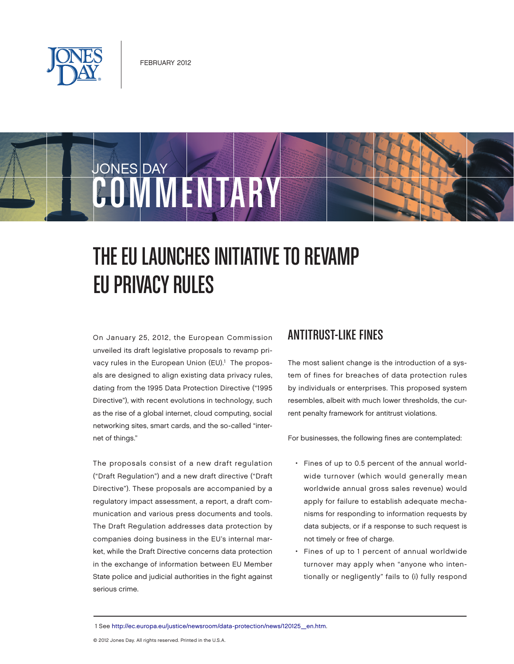

# JONES DAY COMMENTARY

# THE EU LAUNCHES INITIATIVE TO REVAMP EU PRIVACY RULES

On January 25, 2012, the European Commission unveiled its draft legislative proposals to revamp privacy rules in the European Union (EU).<sup>1</sup> The proposals are designed to align existing data privacy rules, dating from the 1995 Data Protection Directive ("1995 Directive"), with recent evolutions in technology, such as the rise of a global internet, cloud computing, social networking sites, smart cards, and the so-called "internet of things."

The proposals consist of a new draft regulation ("Draft Regulation") and a new draft directive ("Draft Directive"). These proposals are accompanied by a regulatory impact assessment, a report, a draft communication and various press documents and tools. The Draft Regulation addresses data protection by companies doing business in the EU's internal market, while the Draft Directive concerns data protection in the exchange of information between EU Member State police and judicial authorities in the fight against serious crime.

#### ANTITRUST-LIKE FINES

The most salient change is the introduction of a system of fines for breaches of data protection rules by individuals or enterprises. This proposed system resembles, albeit with much lower thresholds, the current penalty framework for antitrust violations.

For businesses, the following fines are contemplated:

- Fines of up to 0.5 percent of the annual worldwide turnover (which would generally mean worldwide annual gross sales revenue) would apply for failure to establish adequate mechanisms for responding to information requests by data subjects, or if a response to such request is not timely or free of charge.
- Fines of up to 1 percent of annual worldwide turnover may apply when "anyone who intentionally or negligently" fails to (i) fully respond

 <sup>1</sup> Se[e http://ec.europa.eu/justice/newsroom/data-protection/news/120125\\_en.htm.](http://ec.europa.eu/justice/newsroom/data-protection/news/120125_en.htm)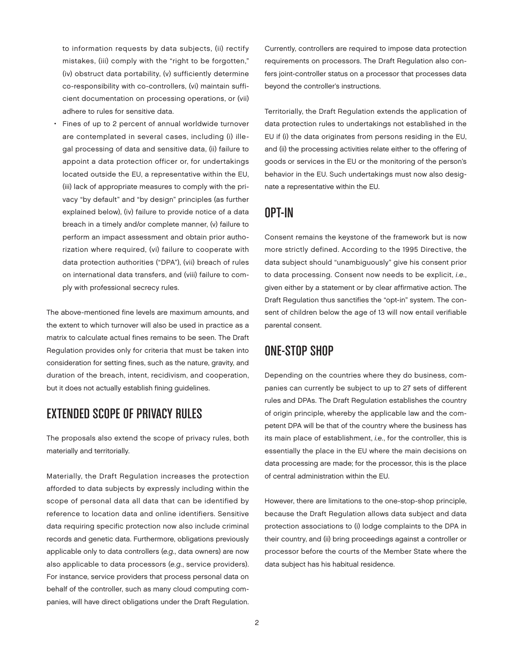to information requests by data subjects, (ii) rectify mistakes, (iii) comply with the "right to be forgotten," (iv) obstruct data portability, (v) sufficiently determine co-responsibility with co-controllers, (vi) maintain sufficient documentation on processing operations, or (vii) adhere to rules for sensitive data.

Fines of up to 2 percent of annual worldwide turnover are contemplated in several cases, including (i) illegal processing of data and sensitive data, (ii) failure to appoint a data protection officer or, for undertakings located outside the EU, a representative within the EU, (iii) lack of appropriate measures to comply with the privacy "by default" and "by design" principles (as further explained below), (iv) failure to provide notice of a data breach in a timely and/or complete manner, (v) failure to perform an impact assessment and obtain prior authorization where required, (vi) failure to cooperate with data protection authorities ("DPA"), (vii) breach of rules on international data transfers, and (viii) failure to comply with professional secrecy rules.

The above-mentioned fine levels are maximum amounts, and the extent to which turnover will also be used in practice as a matrix to calculate actual fines remains to be seen. The Draft Regulation provides only for criteria that must be taken into consideration for setting fines, such as the nature, gravity, and duration of the breach, intent, recidivism, and cooperation, but it does not actually establish fining guidelines.

# EXTENDED SCOPE OF PRIVACY RULES

The proposals also extend the scope of privacy rules, both materially and territorially.

Materially, the Draft Regulation increases the protection afforded to data subjects by expressly including within the scope of personal data all data that can be identified by reference to location data and online identifiers. Sensitive data requiring specific protection now also include criminal records and genetic data. Furthermore, obligations previously applicable only to data controllers (e.g., data owners) are now also applicable to data processors (e.g., service providers). For instance, service providers that process personal data on behalf of the controller, such as many cloud computing companies, will have direct obligations under the Draft Regulation.

Currently, controllers are required to impose data protection requirements on processors. The Draft Regulation also confers joint-controller status on a processor that processes data beyond the controller's instructions.

Territorially, the Draft Regulation extends the application of data protection rules to undertakings not established in the EU if (i) the data originates from persons residing in the EU, and (ii) the processing activities relate either to the offering of goods or services in the EU or the monitoring of the person's behavior in the EU. Such undertakings must now also designate a representative within the EU.

#### OPT-IN

Consent remains the keystone of the framework but is now more strictly defined. According to the 1995 Directive, the data subject should "unambiguously" give his consent prior to data processing. Consent now needs to be explicit, i.e., given either by a statement or by clear affirmative action. The Draft Regulation thus sanctifies the "opt-in" system. The consent of children below the age of 13 will now entail verifiable parental consent.

#### ONE-STOP SHOP

Depending on the countries where they do business, companies can currently be subject to up to 27 sets of different rules and DPAs. The Draft Regulation establishes the country of origin principle, whereby the applicable law and the competent DPA will be that of the country where the business has its main place of establishment, i.e., for the controller, this is essentially the place in the EU where the main decisions on data processing are made; for the processor, this is the place of central administration within the EU.

However, there are limitations to the one-stop-shop principle, because the Draft Regulation allows data subject and data protection associations to (i) lodge complaints to the DPA in their country, and (ii) bring proceedings against a controller or processor before the courts of the Member State where the data subject has his habitual residence.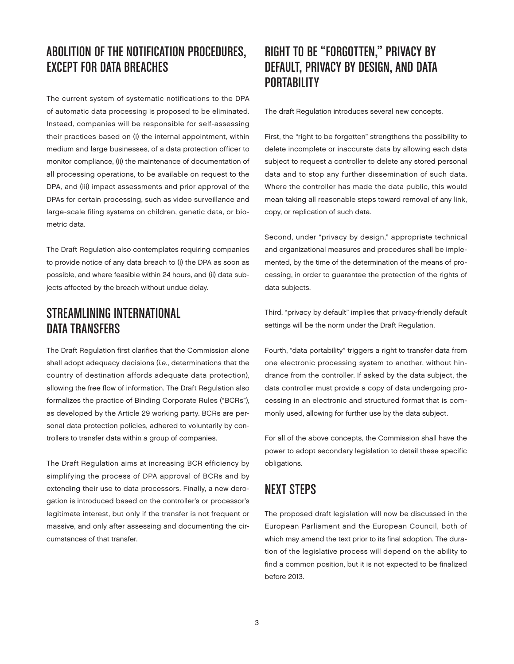# ABOLITION OF THE NOTIFICATION PROCEDURES, EXCEPT FOR DATA BREACHES

The current system of systematic notifications to the DPA of automatic data processing is proposed to be eliminated. Instead, companies will be responsible for self-assessing their practices based on (i) the internal appointment, within medium and large businesses, of a data protection officer to monitor compliance, (ii) the maintenance of documentation of all processing operations, to be available on request to the DPA, and (iii) impact assessments and prior approval of the DPAs for certain processing, such as video surveillance and large-scale filing systems on children, genetic data, or biometric data.

The Draft Regulation also contemplates requiring companies to provide notice of any data breach to (i) the DPA as soon as possible, and where feasible within 24 hours, and (ii) data subjects affected by the breach without undue delay.

#### STREAMLINING INTERNATIONAL DATA TRANSFERS

The Draft Regulation first clarifies that the Commission alone shall adopt adequacy decisions (i.e., determinations that the country of destination affords adequate data protection), allowing the free flow of information. The Draft Regulation also formalizes the practice of Binding Corporate Rules ("BCRs"), as developed by the Article 29 working party. BCRs are personal data protection policies, adhered to voluntarily by controllers to transfer data within a group of companies.

The Draft Regulation aims at increasing BCR efficiency by simplifying the process of DPA approval of BCRs and by extending their use to data processors. Finally, a new derogation is introduced based on the controller's or processor's legitimate interest, but only if the transfer is not frequent or massive, and only after assessing and documenting the circumstances of that transfer.

# RIGHT TO BE "FORGOTTEN," PRIVACY BY DEFAULT, PRIVACY BY DESIGN, AND DATA **PORTABILITY**

The draft Regulation introduces several new concepts.

First, the "right to be forgotten" strengthens the possibility to delete incomplete or inaccurate data by allowing each data subject to request a controller to delete any stored personal data and to stop any further dissemination of such data. Where the controller has made the data public, this would mean taking all reasonable steps toward removal of any link, copy, or replication of such data.

Second, under "privacy by design," appropriate technical and organizational measures and procedures shall be implemented, by the time of the determination of the means of processing, in order to guarantee the protection of the rights of data subjects.

Third, "privacy by default" implies that privacy-friendly default settings will be the norm under the Draft Regulation.

Fourth, "data portability" triggers a right to transfer data from one electronic processing system to another, without hindrance from the controller. If asked by the data subject, the data controller must provide a copy of data undergoing processing in an electronic and structured format that is commonly used, allowing for further use by the data subject.

For all of the above concepts, the Commission shall have the power to adopt secondary legislation to detail these specific obligations.

#### NEXT STEPS

The proposed draft legislation will now be discussed in the European Parliament and the European Council, both of which may amend the text prior to its final adoption. The duration of the legislative process will depend on the ability to find a common position, but it is not expected to be finalized before 2013.